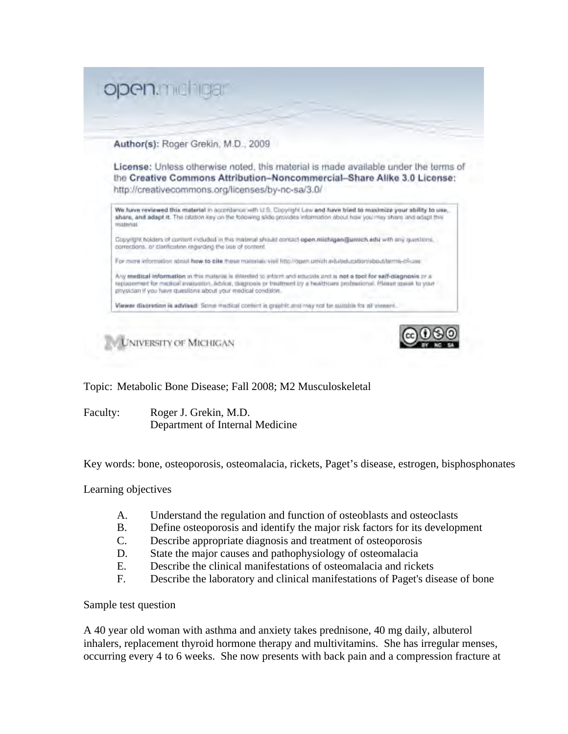|           | Author(s): Roger Grekin, M.D., 2009                                                                                                                                                                                                                                                                            |
|-----------|----------------------------------------------------------------------------------------------------------------------------------------------------------------------------------------------------------------------------------------------------------------------------------------------------------------|
|           | License: Unless otherwise noted, this material is made available under the terms of<br>the Creative Commons Attribution-Noncommercial-Share Alike 3.0 License:<br>http://creativecommons.org/licenses/by-nc-sa/3.0/                                                                                            |
| waterial. | We have reviewed this material in accordance with U.S. Copyinghi Law and have tried to maximize your ability to use.<br>share, and adapt it. The citation key on the following silde provides information about how you may share and adapt the                                                                |
|           | Copyright holders of content included in this material should contact open michigan@umlch.edu with any questions.<br>corrections, or clarification regarding the use of content.                                                                                                                               |
|           | For more information stroot how to cite these materials visit http://open.unvch.edu/adubation/about/termi-chuse                                                                                                                                                                                                |
|           | Any medical information in this material is intended to inform and equate and is not a tool for self-diagnosis or a<br>replacement for madical evaluation. Scylos, diagnosis or trailment by a healthcare professional. Riesse speak to your<br>physician if you fueve questions about your medical condition. |
|           | Viewer discretion is advised: Sonyi medical content is graphic and may not be sumble for all viewers.                                                                                                                                                                                                          |

Topic: Metabolic Bone Disease; Fall 2008; M2 Musculoskeletal

Faculty: Roger J. Grekin, M.D. Department of Internal Medicine

Key words: bone, osteoporosis, osteomalacia, rickets, Paget's disease, estrogen, bisphosphonates

Learning objectives

- A. Understand the regulation and function of osteoblasts and osteoclasts
- B. Define osteoporosis and identify the major risk factors for its development
- C. Describe appropriate diagnosis and treatment of osteoporosis
- D. State the major causes and pathophysiology of osteomalacia
- E. Describe the clinical manifestations of osteomalacia and rickets
- F. Describe the laboratory and clinical manifestations of Paget's disease of bone

Sample test question

A 40 year old woman with asthma and anxiety takes prednisone, 40 mg daily, albuterol inhalers, replacement thyroid hormone therapy and multivitamins. She has irregular menses, occurring every 4 to 6 weeks. She now presents with back pain and a compression fracture at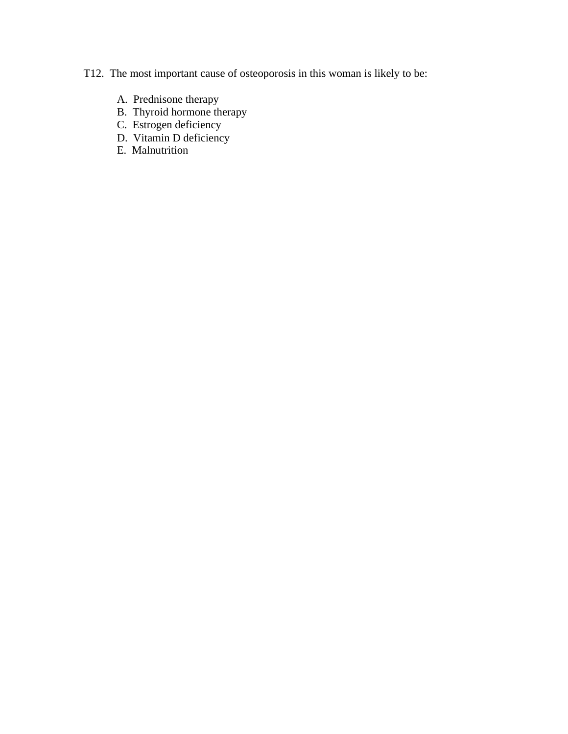- T12. The most important cause of osteoporosis in this woman is likely to be:
	- A. Prednisone therapy
	- B. Thyroid hormone therapy
	- C. Estrogen deficiency
	- D. Vitamin D deficiency
	- E. Malnutrition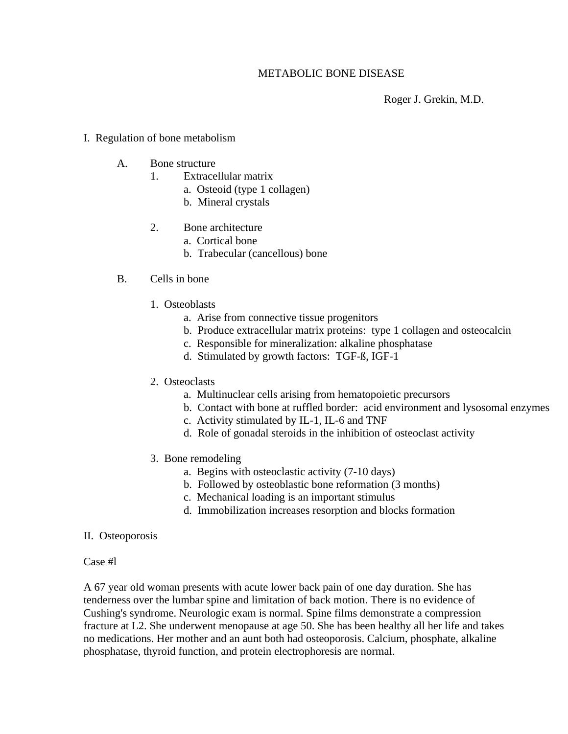## METABOLIC BONE DISEASE

Roger J. Grekin, M.D.

- I. Regulation of bone metabolism
	- A. Bone structure
		- 1. Extracellular matrix
			- a. Osteoid (type 1 collagen)
			- b. Mineral crystals
		- 2. Bone architecture
			- a. Cortical bone
			- b. Trabecular (cancellous) bone
	- B. Cells in bone
		- 1. Osteoblasts
			- a. Arise from connective tissue progenitors
			- b. Produce extracellular matrix proteins: type 1 collagen and osteocalcin
			- c. Responsible for mineralization: alkaline phosphatase
			- d. Stimulated by growth factors: TGF-ß, IGF-1
		- 2. Osteoclasts
			- a. Multinuclear cells arising from hematopoietic precursors
			- b. Contact with bone at ruffled border: acid environment and lysosomal enzymes
			- c. Activity stimulated by IL-1, IL-6 and TNF
			- d. Role of gonadal steroids in the inhibition of osteoclast activity
		- 3. Bone remodeling
			- a. Begins with osteoclastic activity (7-10 days)
			- b. Followed by osteoblastic bone reformation (3 months)
			- c. Mechanical loading is an important stimulus
			- d. Immobilization increases resorption and blocks formation

#### II. Osteoporosis

#### Case #l

A 67 year old woman presents with acute lower back pain of one day duration. She has tenderness over the lumbar spine and limitation of back motion. There is no evidence of Cushing's syndrome. Neurologic exam is normal. Spine films demonstrate a compression fracture at L2. She underwent menopause at age 50. She has been healthy all her life and takes no medications. Her mother and an aunt both had osteoporosis. Calcium, phosphate, alkaline phosphatase, thyroid function, and protein electrophoresis are normal.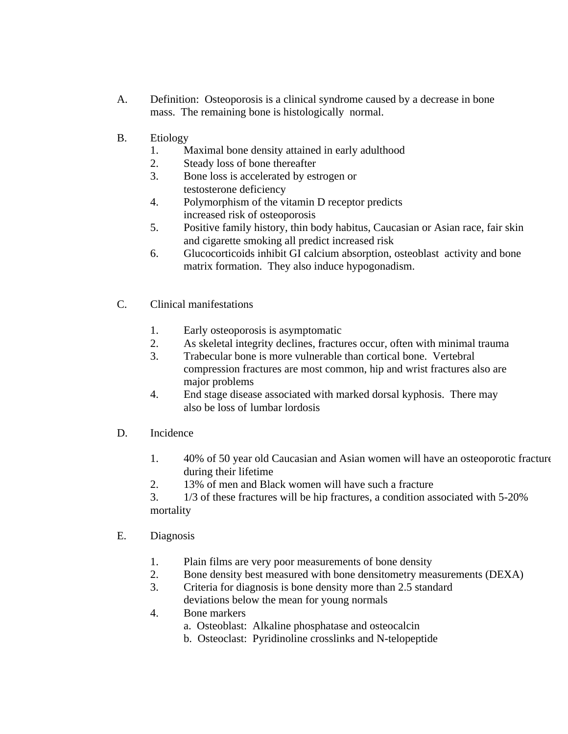- A. Definition: Osteoporosis is a clinical syndrome caused by a decrease in bone mass. The remaining bone is histologically normal.
- B. Etiology
	- 1. Maximal bone density attained in early adulthood
	- 2. Steady loss of bone thereafter
	- 3. Bone loss is accelerated by estrogen or testosterone deficiency
	- 4. Polymorphism of the vitamin D receptor predicts increased risk of osteoporosis
	- 5. Positive family history, thin body habitus, Caucasian or Asian race, fair skin and cigarette smoking all predict increased risk
	- 6. Glucocorticoids inhibit GI calcium absorption, osteoblast activity and bone matrix formation. They also induce hypogonadism.
- C. Clinical manifestations
	- 1. Early osteoporosis is asymptomatic
	- 2. As skeletal integrity declines, fractures occur, often with minimal trauma
	- 3. Trabecular bone is more vulnerable than cortical bone. Vertebral compression fractures are most common, hip and wrist fractures also are major problems
	- 4. End stage disease associated with marked dorsal kyphosis. There may also be loss of lumbar lordosis
- D. Incidence
	- 1. 40% of 50 year old Caucasian and Asian women will have an osteoporotic fracture during their lifetime
	- 2. 13% of men and Black women will have such a fracture

3. 1/3 of these fractures will be hip fractures, a condition associated with 5-20% mortality

- E. Diagnosis
	- 1. Plain films are very poor measurements of bone density
	- 2. Bone density best measured with bone densitometry measurements (DEXA)
	- 3. Criteria for diagnosis is bone density more than 2.5 standard deviations below the mean for young normals
	- 4. Bone markers
		- a. Osteoblast: Alkaline phosphatase and osteocalcin
		- b. Osteoclast: Pyridinoline crosslinks and N-telopeptide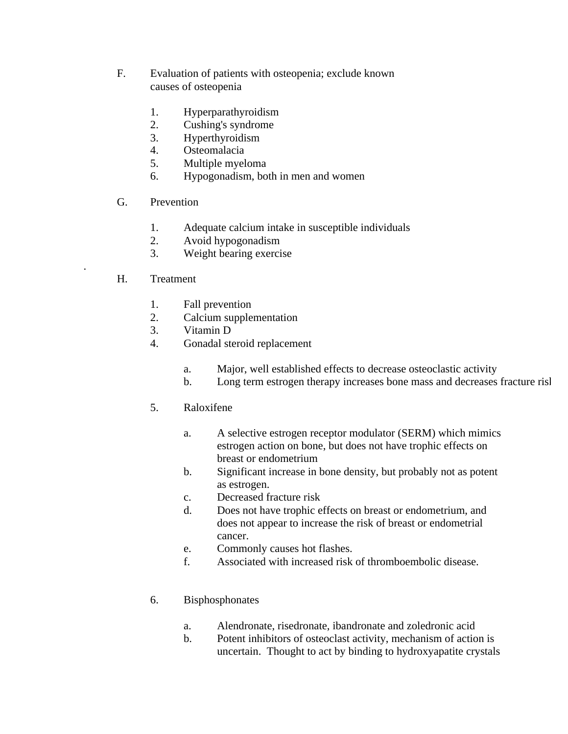- F. Evaluation of patients with osteopenia; exclude known causes of osteopenia
	- 1. Hyperparathyroidism
	- 2. Cushing's syndrome
	- 3. Hyperthyroidism
	- 4. Osteomalacia
	- 5. Multiple myeloma
	- 6. Hypogonadism, both in men and women
- G. Prevention
	- 1. Adequate calcium intake in susceptible individuals
	- 2. Avoid hypogonadism
	- 3. Weight bearing exercise

# H. Treatment

.

- 1. Fall prevention
- 2. Calcium supplementation
- 3. Vitamin D
- 4. Gonadal steroid replacement
	- a. Major, well established effects to decrease osteoclastic activity
	- b. Long term estrogen therapy increases bone mass and decreases fracture risl
- 5. Raloxifene
	- a. A selective estrogen receptor modulator (SERM) which mimics estrogen action on bone, but does not have trophic effects on breast or endometrium
	- b. Significant increase in bone density, but probably not as potent as estrogen.
	- c. Decreased fracture risk
	- d. Does not have trophic effects on breast or endometrium, and does not appear to increase the risk of breast or endometrial cancer.
	- e. Commonly causes hot flashes.
	- f. Associated with increased risk of thromboembolic disease.

# 6. Bisphosphonates

- a. Alendronate, risedronate, ibandronate and zoledronic acid
- b. Potent inhibitors of osteoclast activity, mechanism of action is uncertain. Thought to act by binding to hydroxyapatite crystals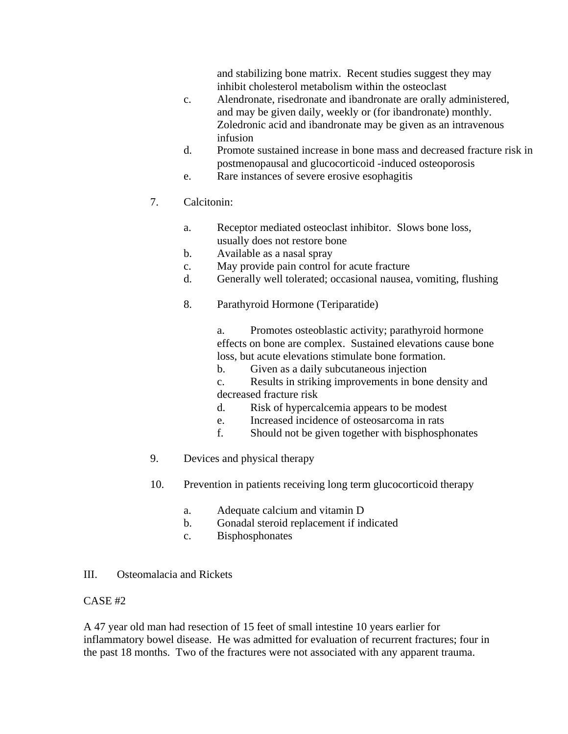and stabilizing bone matrix. Recent studies suggest they may inhibit cholesterol metabolism within the osteoclast

- c. Alendronate, risedronate and ibandronate are orally administered, and may be given daily, weekly or (for ibandronate) monthly. Zoledronic acid and ibandronate may be given as an intravenous infusion
- d. Promote sustained increase in bone mass and decreased fracture risk in postmenopausal and glucocorticoid -induced osteoporosis
- e. Rare instances of severe erosive esophagitis
- 7. Calcitonin:
	- a. Receptor mediated osteoclast inhibitor. Slows bone loss, usually does not restore bone
	- b. Available as a nasal spray
	- c. May provide pain control for acute fracture
	- d. Generally well tolerated; occasional nausea, vomiting, flushing
	- 8. Parathyroid Hormone (Teriparatide)

a. Promotes osteoblastic activity; parathyroid hormone effects on bone are complex. Sustained elevations cause bone loss, but acute elevations stimulate bone formation.

- b. Given as a daily subcutaneous injection
- c. Results in striking improvements in bone density and decreased fracture risk
- d. Risk of hypercalcemia appears to be modest
- e. Increased incidence of osteosarcoma in rats
- f. Should not be given together with bisphosphonates
- 9. Devices and physical therapy
- 10. Prevention in patients receiving long term glucocorticoid therapy
	- a. Adequate calcium and vitamin D
	- b. Gonadal steroid replacement if indicated
	- c. Bisphosphonates

## III. Osteomalacia and Rickets

## CASE #2

A 47 year old man had resection of 15 feet of small intestine 10 years earlier for inflammatory bowel disease. He was admitted for evaluation of recurrent fractures; four in the past 18 months. Two of the fractures were not associated with any apparent trauma.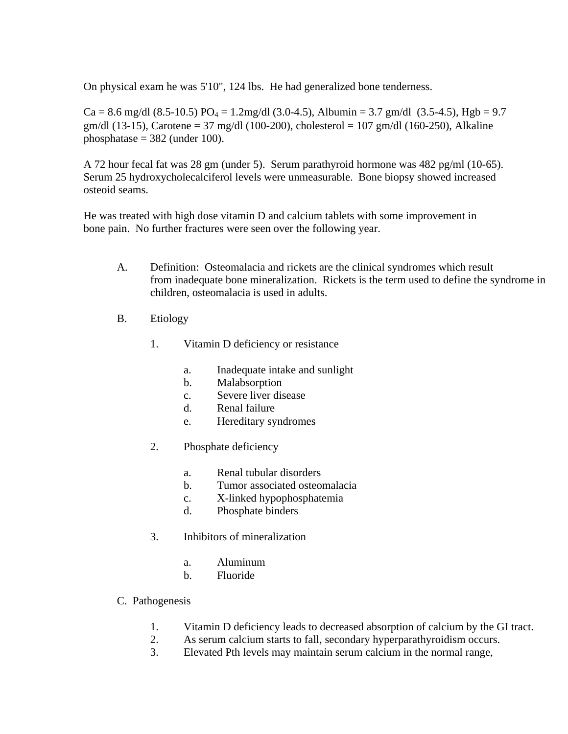On physical exam he was 5'10", 124 lbs. He had generalized bone tenderness.

 $Ca = 8.6$  mg/dl (8.5-10.5) PO<sub>4</sub> = 1.2mg/dl (3.0-4.5), Albumin = 3.7 gm/dl (3.5-4.5), Hgb = 9.7 gm/dl (13-15), Carotene = 37 mg/dl (100-200), cholesterol = 107 gm/dl (160-250), Alkaline phosphatase  $=$  382 (under 100).

A 72 hour fecal fat was 28 gm (under 5). Serum parathyroid hormone was 482 pg/ml (10-65). Serum 25 hydroxycholecalciferol levels were unmeasurable. Bone biopsy showed increased osteoid seams.

He was treated with high dose vitamin D and calcium tablets with some improvement in bone pain. No further fractures were seen over the following year.

- A. Definition: Osteomalacia and rickets are the clinical syndromes which result from inadequate bone mineralization. Rickets is the term used to define the syndrome in children, osteomalacia is used in adults.
- B. Etiology
	- 1. Vitamin D deficiency or resistance
		- a. Inadequate intake and sunlight
		- b. Malabsorption
		- c. Severe liver disease
		- d. Renal failure
		- e. Hereditary syndromes
	- 2. Phosphate deficiency
		- a. Renal tubular disorders
		- b. Tumor associated osteomalacia
		- c. X-linked hypophosphatemia
		- d. Phosphate binders
	- 3. Inhibitors of mineralization
		- a. Aluminum
		- b. Fluoride
- C. Pathogenesis
	- 1. Vitamin D deficiency leads to decreased absorption of calcium by the GI tract.
	- 2. As serum calcium starts to fall, secondary hyperparathyroidism occurs.
	- 3. Elevated Pth levels may maintain serum calcium in the normal range,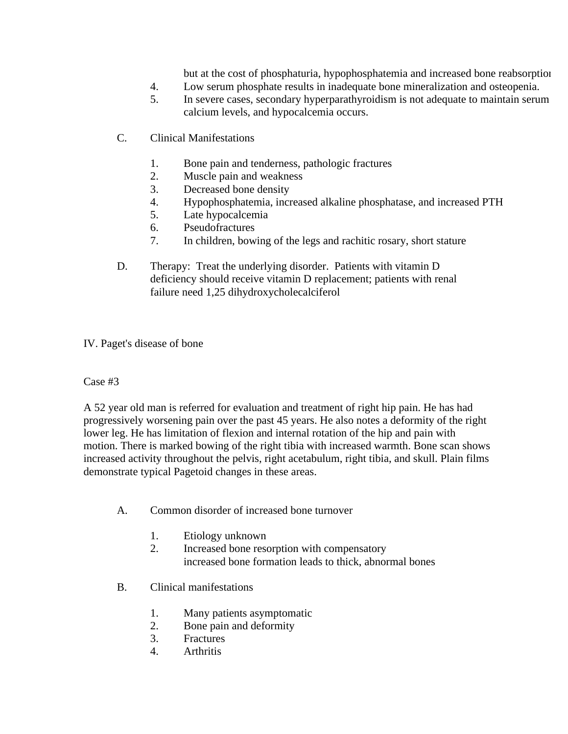but at the cost of phosphaturia, hypophosphatemia and increased bone reabsorption

- 4. Low serum phosphate results in inadequate bone mineralization and osteopenia.
- 5. In severe cases, secondary hyperparathyroidism is not adequate to maintain serum calcium levels, and hypocalcemia occurs.
- C. Clinical Manifestations
	- 1. Bone pain and tenderness, pathologic fractures
	- 2. Muscle pain and weakness
	- 3. Decreased bone density
	- 4. Hypophosphatemia, increased alkaline phosphatase, and increased PTH
	- 5. Late hypocalcemia
	- 6. Pseudofractures
	- 7. In children, bowing of the legs and rachitic rosary, short stature
- D. Therapy: Treat the underlying disorder. Patients with vitamin D deficiency should receive vitamin D replacement; patients with renal failure need 1,25 dihydroxycholecalciferol

IV. Paget's disease of bone

## Case #3

A 52 year old man is referred for evaluation and treatment of right hip pain. He has had progressively worsening pain over the past 45 years. He also notes a deformity of the right lower leg. He has limitation of flexion and internal rotation of the hip and pain with motion. There is marked bowing of the right tibia with increased warmth. Bone scan shows increased activity throughout the pelvis, right acetabulum, right tibia, and skull. Plain films demonstrate typical Pagetoid changes in these areas.

- A. Common disorder of increased bone turnover
	- 1. Etiology unknown
	- 2. Increased bone resorption with compensatory increased bone formation leads to thick, abnormal bones
- B. Clinical manifestations
	- 1. Many patients asymptomatic
	- 2. Bone pain and deformity
	- 3. Fractures
	- 4. Arthritis